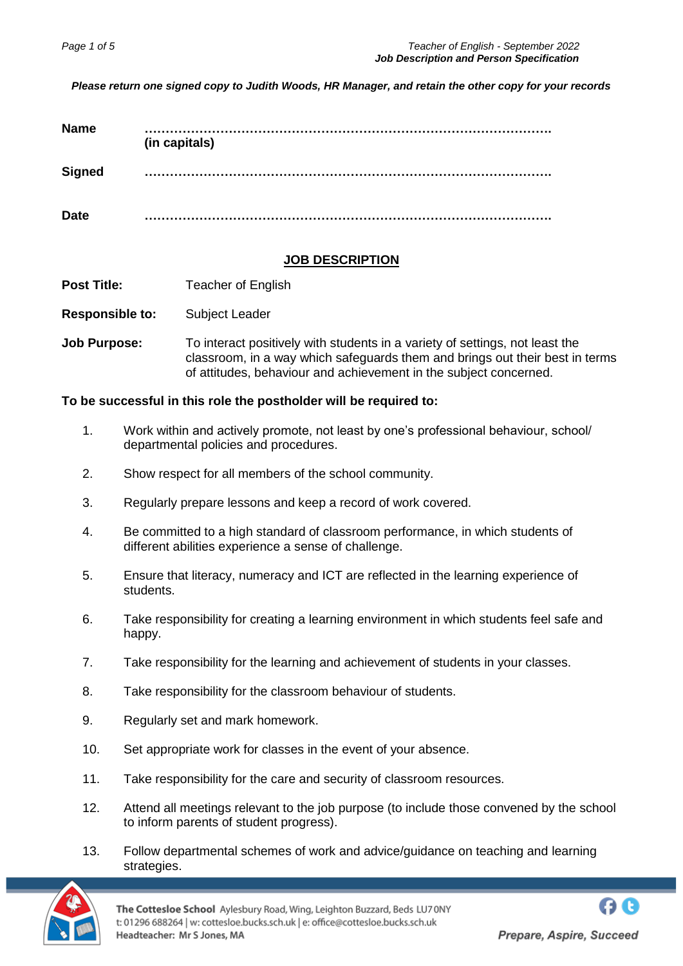*Please return one signed copy to Judith Woods, HR Manager, and retain the other copy for your records*

| <b>Name</b>   | (in capitals) |
|---------------|---------------|
| <b>Signed</b> |               |
| <b>Date</b>   |               |

#### **JOB DESCRIPTION**

**Post Title:** Teacher of English

**Responsible to:** Subject Leader

**Job Purpose:** To interact positively with students in a variety of settings, not least the classroom, in a way which safeguards them and brings out their best in terms of attitudes, behaviour and achievement in the subject concerned.

#### **To be successful in this role the postholder will be required to:**

- 1. Work within and actively promote, not least by one's professional behaviour, school/ departmental policies and procedures.
- 2. Show respect for all members of the school community.
- 3. Regularly prepare lessons and keep a record of work covered.
- 4. Be committed to a high standard of classroom performance, in which students of different abilities experience a sense of challenge.
- 5. Ensure that literacy, numeracy and ICT are reflected in the learning experience of students.
- 6. Take responsibility for creating a learning environment in which students feel safe and happy.
- 7. Take responsibility for the learning and achievement of students in your classes.
- 8. Take responsibility for the classroom behaviour of students.
- 9. Regularly set and mark homework.
- 10. Set appropriate work for classes in the event of your absence.
- 11. Take responsibility for the care and security of classroom resources.
- 12. Attend all meetings relevant to the job purpose (to include those convened by the school to inform parents of student progress).
- 13. Follow departmental schemes of work and advice/guidance on teaching and learning strategies.



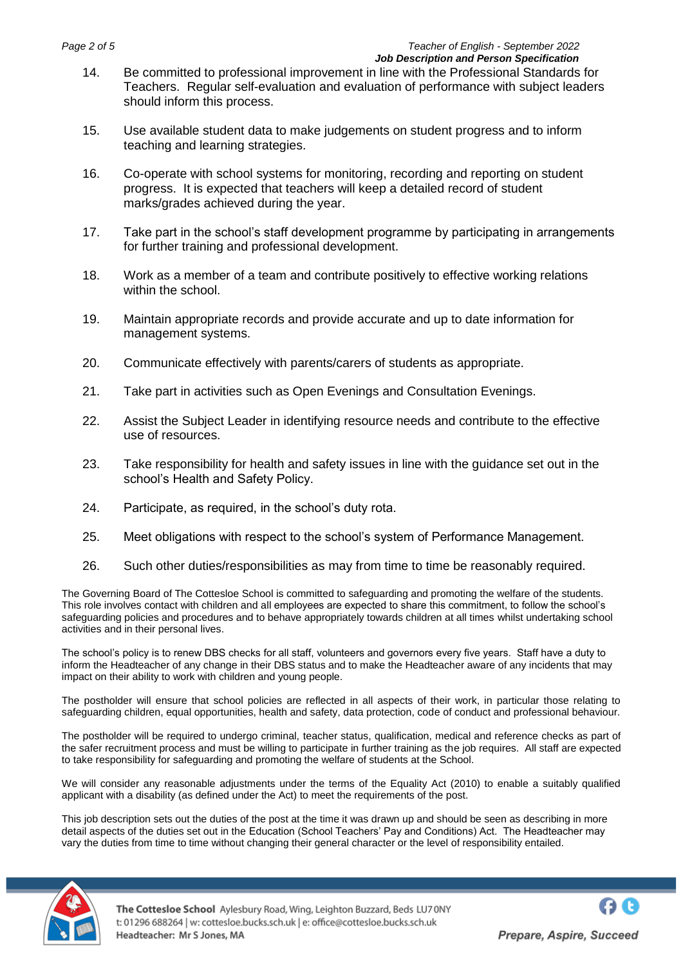- 14. Be committed to professional improvement in line with the Professional Standards for Teachers. Regular self-evaluation and evaluation of performance with subject leaders should inform this process.
- 15. Use available student data to make judgements on student progress and to inform teaching and learning strategies.
- 16. Co-operate with school systems for monitoring, recording and reporting on student progress. It is expected that teachers will keep a detailed record of student marks/grades achieved during the year.
- 17. Take part in the school's staff development programme by participating in arrangements for further training and professional development.
- 18. Work as a member of a team and contribute positively to effective working relations within the school.
- 19. Maintain appropriate records and provide accurate and up to date information for management systems.
- 20. Communicate effectively with parents/carers of students as appropriate.
- 21. Take part in activities such as Open Evenings and Consultation Evenings.
- 22. Assist the Subject Leader in identifying resource needs and contribute to the effective use of resources.
- 23. Take responsibility for health and safety issues in line with the guidance set out in the school's Health and Safety Policy.
- 24. Participate, as required, in the school's duty rota.
- 25. Meet obligations with respect to the school's system of Performance Management.
- 26. Such other duties/responsibilities as may from time to time be reasonably required.

The Governing Board of The Cottesloe School is committed to safeguarding and promoting the welfare of the students. This role involves contact with children and all employees are expected to share this commitment, to follow the school's safeguarding policies and procedures and to behave appropriately towards children at all times whilst undertaking school activities and in their personal lives.

The school's policy is to renew DBS checks for all staff, volunteers and governors every five years. Staff have a duty to inform the Headteacher of any change in their DBS status and to make the Headteacher aware of any incidents that may impact on their ability to work with children and young people.

The postholder will ensure that school policies are reflected in all aspects of their work, in particular those relating to safeguarding children, equal opportunities, health and safety, data protection, code of conduct and professional behaviour.

The postholder will be required to undergo criminal, teacher status, qualification, medical and reference checks as part of the safer recruitment process and must be willing to participate in further training as the job requires. All staff are expected to take responsibility for safeguarding and promoting the welfare of students at the School.

We will consider any reasonable adjustments under the terms of the Equality Act (2010) to enable a suitably qualified applicant with a disability (as defined under the Act) to meet the requirements of the post.

This job description sets out the duties of the post at the time it was drawn up and should be seen as describing in more detail aspects of the duties set out in the Education (School Teachers' Pay and Conditions) Act. The Headteacher may vary the duties from time to time without changing their general character or the level of responsibility entailed.

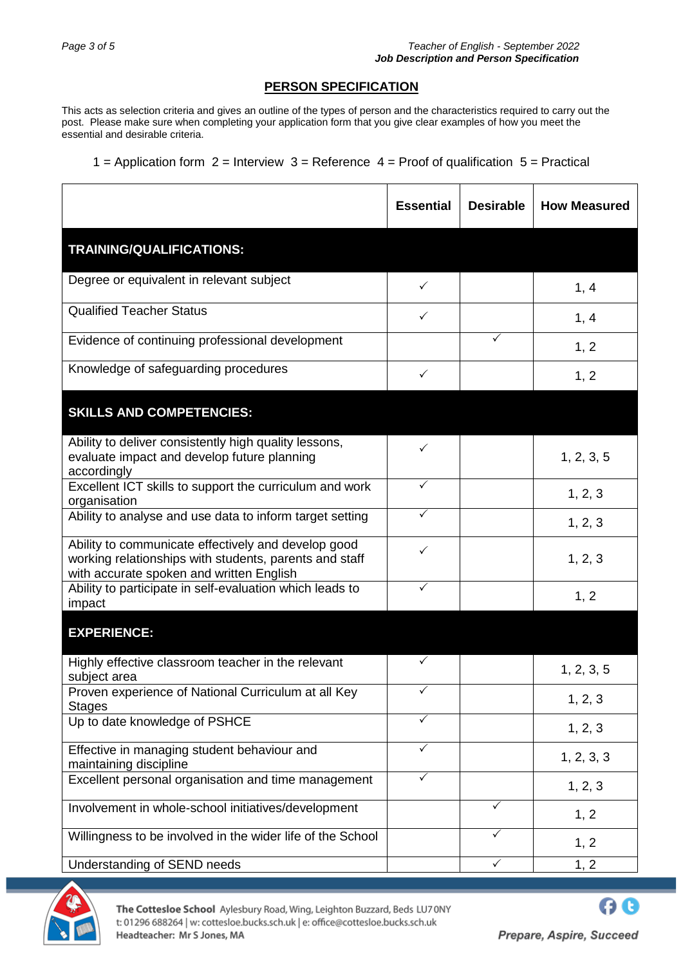# **PERSON SPECIFICATION**

This acts as selection criteria and gives an outline of the types of person and the characteristics required to carry out the post. Please make sure when completing your application form that you give clear examples of how you meet the essential and desirable criteria.

1 = Application form  $2$  = Interview  $3$  = Reference  $4$  = Proof of qualification  $5$  = Practical

|                                                                                                                                                           | <b>Essential</b> | <b>Desirable</b> | <b>How Measured</b> |
|-----------------------------------------------------------------------------------------------------------------------------------------------------------|------------------|------------------|---------------------|
| TRAINING/QUALIFICATIONS:                                                                                                                                  |                  |                  |                     |
| Degree or equivalent in relevant subject                                                                                                                  | $\checkmark$     |                  | 1, 4                |
| <b>Qualified Teacher Status</b>                                                                                                                           | ✓                |                  | 1, 4                |
| Evidence of continuing professional development                                                                                                           |                  | ✓                | 1, 2                |
| Knowledge of safeguarding procedures                                                                                                                      | $\checkmark$     |                  | 1, 2                |
| <b>SKILLS AND COMPETENCIES:</b>                                                                                                                           |                  |                  |                     |
| Ability to deliver consistently high quality lessons,<br>evaluate impact and develop future planning<br>accordingly                                       | ✓                |                  | 1, 2, 3, 5          |
| Excellent ICT skills to support the curriculum and work<br>organisation                                                                                   | $\checkmark$     |                  | 1, 2, 3             |
| Ability to analyse and use data to inform target setting                                                                                                  | ✓                |                  | 1, 2, 3             |
| Ability to communicate effectively and develop good<br>working relationships with students, parents and staff<br>with accurate spoken and written English | ✓                |                  | 1, 2, 3             |
| Ability to participate in self-evaluation which leads to<br>impact                                                                                        | ✓                |                  | 1, 2                |
| <b>EXPERIENCE:</b>                                                                                                                                        |                  |                  |                     |
| Highly effective classroom teacher in the relevant<br>subject area                                                                                        | $\checkmark$     |                  | 1, 2, 3, 5          |
| Proven experience of National Curriculum at all Key<br><b>Stages</b>                                                                                      | $\checkmark$     |                  | 1, 2, 3             |
| Up to date knowledge of PSHCE                                                                                                                             | $\checkmark$     |                  | 1, 2, 3             |
| Effective in managing student behaviour and<br>maintaining discipline                                                                                     | ✓                |                  | 1, 2, 3, 3          |
| Excellent personal organisation and time management                                                                                                       | ✓                |                  | 1, 2, 3             |
| Involvement in whole-school initiatives/development                                                                                                       |                  | $\checkmark$     | 1, 2                |
| Willingness to be involved in the wider life of the School                                                                                                |                  | ✓                | 1, 2                |
| Understanding of SEND needs                                                                                                                               |                  | $\checkmark$     | 1, 2                |



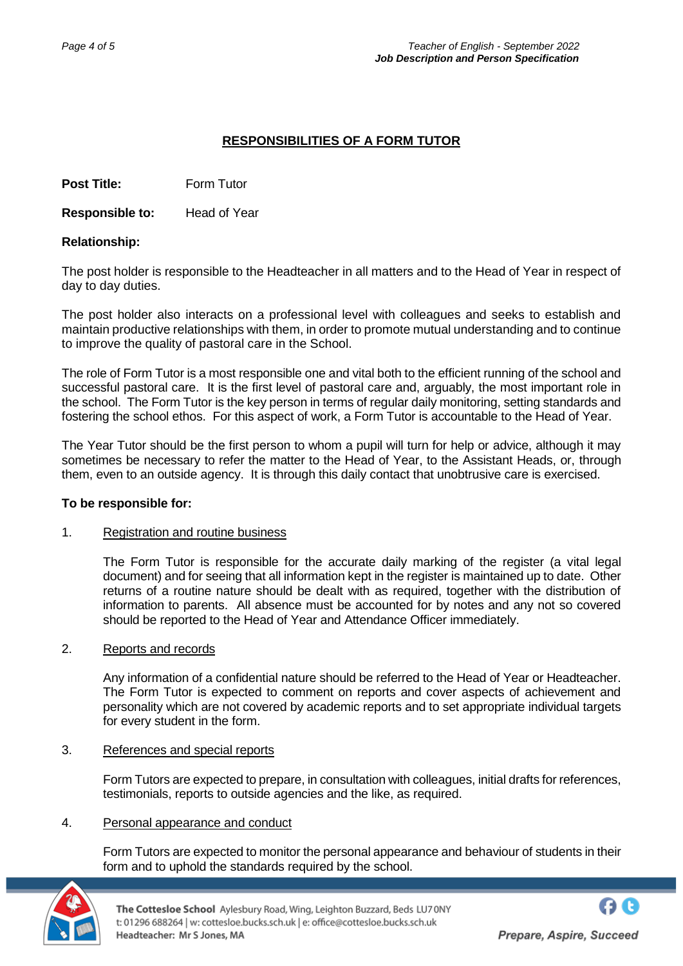# **RESPONSIBILITIES OF A FORM TUTOR**

**Post Title: Form Tutor** 

**Responsible to:** Head of Year

## **Relationship:**

The post holder is responsible to the Headteacher in all matters and to the Head of Year in respect of day to day duties.

The post holder also interacts on a professional level with colleagues and seeks to establish and maintain productive relationships with them, in order to promote mutual understanding and to continue to improve the quality of pastoral care in the School.

The role of Form Tutor is a most responsible one and vital both to the efficient running of the school and successful pastoral care. It is the first level of pastoral care and, arguably, the most important role in the school. The Form Tutor is the key person in terms of regular daily monitoring, setting standards and fostering the school ethos. For this aspect of work, a Form Tutor is accountable to the Head of Year.

The Year Tutor should be the first person to whom a pupil will turn for help or advice, although it may sometimes be necessary to refer the matter to the Head of Year, to the Assistant Heads, or, through them, even to an outside agency. It is through this daily contact that unobtrusive care is exercised.

## **To be responsible for:**

## 1. Registration and routine business

The Form Tutor is responsible for the accurate daily marking of the register (a vital legal document) and for seeing that all information kept in the register is maintained up to date. Other returns of a routine nature should be dealt with as required, together with the distribution of information to parents. All absence must be accounted for by notes and any not so covered should be reported to the Head of Year and Attendance Officer immediately.

## 2. Reports and records

Any information of a confidential nature should be referred to the Head of Year or Headteacher. The Form Tutor is expected to comment on reports and cover aspects of achievement and personality which are not covered by academic reports and to set appropriate individual targets for every student in the form.

## 3. References and special reports

Form Tutors are expected to prepare, in consultation with colleagues, initial drafts for references, testimonials, reports to outside agencies and the like, as required.

## 4. Personal appearance and conduct

Form Tutors are expected to monitor the personal appearance and behaviour of students in their form and to uphold the standards required by the school.